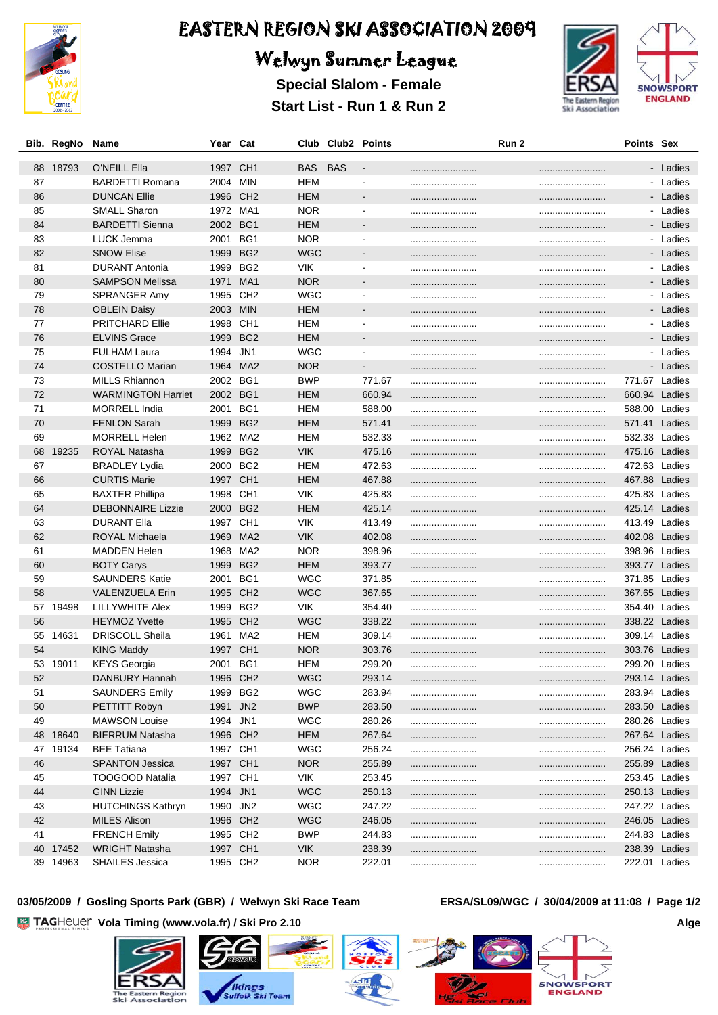

## Welwyn Summer League

**Special Slalom - Female Start List - Run 1 & Run 2**





#### **03/05/2009 / Gosling Sports Park (GBR) / Welwyn Ski Race Team ERSA/SL09/WGC / 30/04/2009 at 11:08 / Page 1/2**

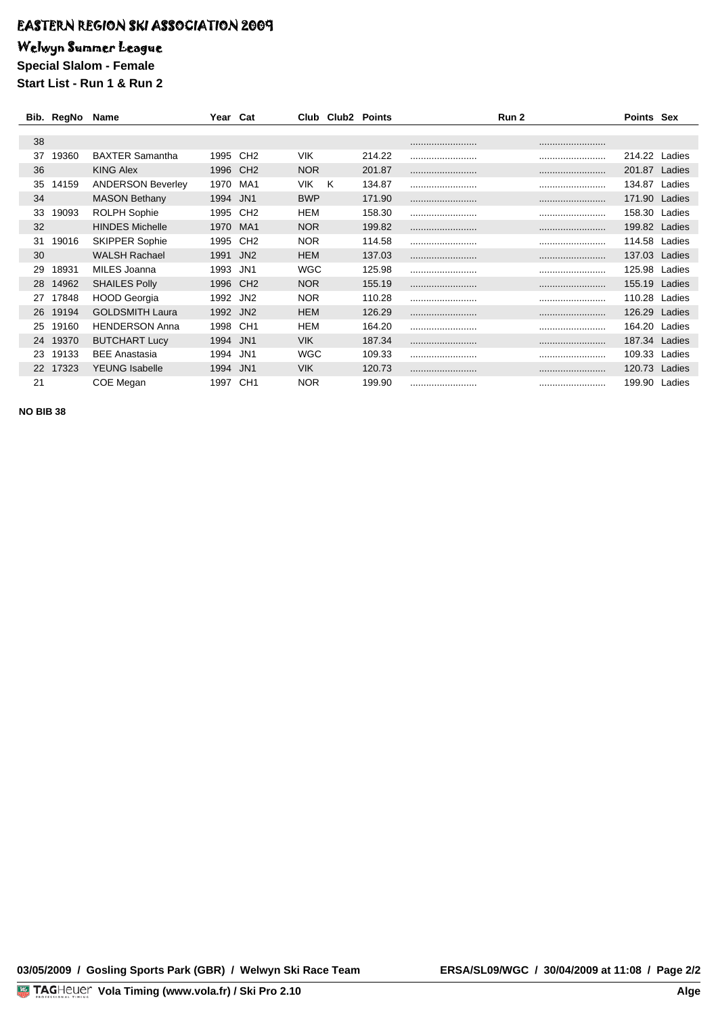### Welwyn Summer League

**Special Slalom - Female Start List - Run 1 & Run 2**

|    | Bib. RegNo Name |                          | Year Cat |                 |            | Club Club <sub>2</sub> Points |        | Run 2 | <b>Points Sex</b> |        |
|----|-----------------|--------------------------|----------|-----------------|------------|-------------------------------|--------|-------|-------------------|--------|
|    |                 |                          |          |                 |            |                               |        |       |                   |        |
| 38 |                 |                          |          |                 |            |                               |        |       |                   |        |
| 37 | 19360           | <b>BAXTER Samantha</b>   | 1995     | CH <sub>2</sub> | <b>VIK</b> |                               | 214.22 |       | 214.22            | Ladies |
| 36 |                 | <b>KING Alex</b>         | 1996     | CH <sub>2</sub> | <b>NOR</b> |                               | 201.87 |       | <br>201.87        | Ladies |
| 35 | 14159           | <b>ANDERSON Beverley</b> | 1970     | MA1             | <b>VIK</b> | Κ                             | 134.87 |       | <br>134.87        | Ladies |
| 34 |                 | <b>MASON Bethany</b>     | 1994     | JN <sub>1</sub> | <b>BWP</b> |                               | 171.90 |       | <br>171.90        | Ladies |
| 33 | 19093           | <b>ROLPH Sophie</b>      | 1995     | CH <sub>2</sub> | HEM        |                               | 158.30 |       | 158.30            | Ladies |
| 32 |                 | <b>HINDES Michelle</b>   | 1970     | MA <sub>1</sub> | <b>NOR</b> |                               | 199.82 |       | <br>199.82        | Ladies |
| 31 | 19016           | <b>SKIPPER Sophie</b>    | 1995     | CH <sub>2</sub> | NOR        |                               | 114.58 |       | <br>114.58        | Ladies |
| 30 |                 | <b>WALSH Rachael</b>     | 1991     | JN <sub>2</sub> | HEM        |                               | 137.03 |       | <br>137.03        | Ladies |
| 29 | 18931           | MILES Joanna             | 1993     | JN1             | WGC        |                               | 125.98 |       | <br>125.98        | Ladies |
| 28 | 14962           | <b>SHAILES Polly</b>     | 1996     | CH <sub>2</sub> | <b>NOR</b> |                               | 155.19 |       | <br>155.19        | Ladies |
| 27 | 17848           | <b>HOOD Georgia</b>      | 1992     | JN <sub>2</sub> | <b>NOR</b> |                               | 110.28 |       | 110.28            | Ladies |
| 26 | 19194           | <b>GOLDSMITH Laura</b>   | 1992     | JN <sub>2</sub> | <b>HEM</b> |                               | 126.29 |       | <br>126.29        | Ladies |
| 25 | 19160           | <b>HENDERSON Anna</b>    | 1998     | CH <sub>1</sub> | <b>HEM</b> |                               | 164.20 |       | <br>164.20        | Ladies |
| 24 | 19370           | <b>BUTCHART Lucy</b>     | 1994     | JN <sub>1</sub> | <b>VIK</b> |                               | 187.34 |       | <br>187.34        | Ladies |
| 23 | 19133           | <b>BEE Anastasia</b>     | 1994     | JN1             | WGC        |                               | 109.33 |       | 109.33            | Ladies |
| 22 | 17323           | <b>YEUNG Isabelle</b>    | 1994     | JN <sub>1</sub> | VIK.       |                               | 120.73 |       | <br>120.73        | Ladies |
| 21 |                 | COE Megan                | 1997     | CH <sub>1</sub> | <b>NOR</b> |                               | 199.90 |       | <br>199.90        | Ladies |

**NO BIB 38**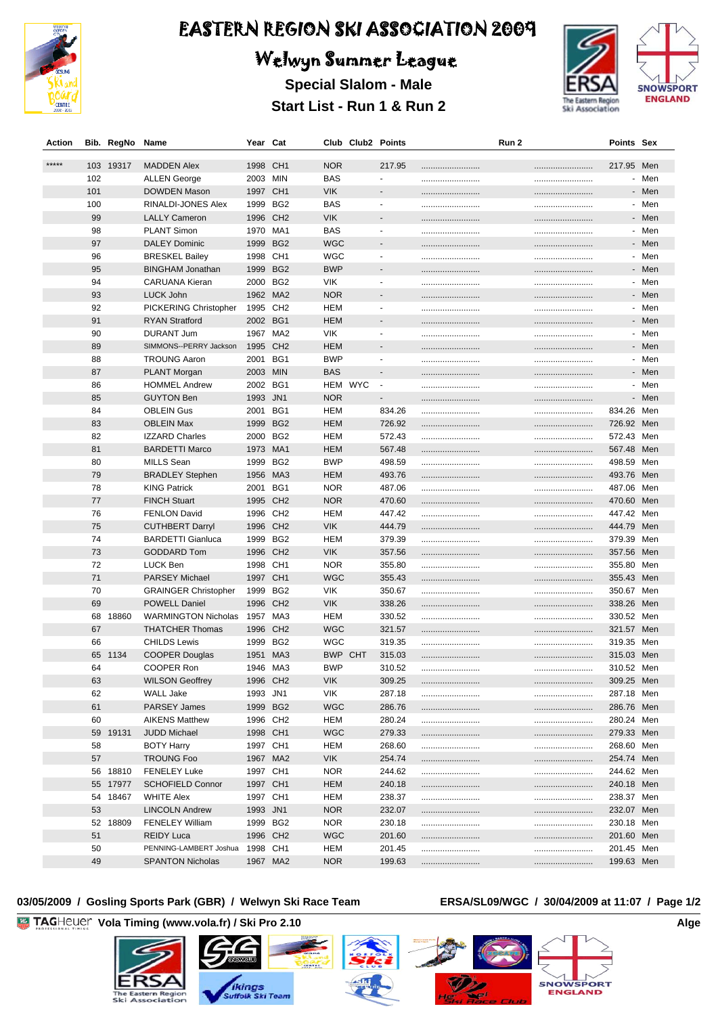

# Welwyn Summer League

**Special Slalom - Male Start List - Run 1 & Run 2**



| Action  |     | Bib. RegNo Name |                              | Year Cat |                 |            | Club Club2 Points |                          | Run 2 | Points Sex     |       |
|---------|-----|-----------------|------------------------------|----------|-----------------|------------|-------------------|--------------------------|-------|----------------|-------|
| $*****$ |     |                 |                              |          |                 |            |                   |                          |       |                |       |
|         |     | 103 19317       | <b>MADDEN Alex</b>           | 1998 CH1 |                 | <b>NOR</b> |                   | 217.95                   |       | <br>217.95 Men |       |
|         | 102 |                 | <b>ALLEN George</b>          | 2003 MIN |                 | <b>BAS</b> |                   | $\blacksquare$           |       |                | - Men |
|         | 101 |                 | <b>DOWDEN Mason</b>          | 1997 CH1 |                 | <b>VIK</b> |                   |                          |       |                | - Men |
|         | 100 |                 | RINALDI-JONES Alex           | 1999 BG2 |                 | <b>BAS</b> |                   | $\overline{\phantom{a}}$ |       |                | - Men |
|         | 99  |                 | <b>LALLY Cameron</b>         | 1996 CH2 |                 | <b>VIK</b> |                   |                          |       |                | - Men |
|         | 98  |                 | <b>PLANT Simon</b>           | 1970 MA1 |                 | <b>BAS</b> |                   | $\blacksquare$           |       |                | - Men |
|         | 97  |                 | <b>DALEY Dominic</b>         | 1999     | BG <sub>2</sub> | WGC        |                   |                          |       |                | - Men |
|         | 96  |                 | <b>BRESKEL Bailey</b>        | 1998 CH1 |                 | WGC        |                   | $\blacksquare$           |       |                | - Men |
|         | 95  |                 | <b>BINGHAM Jonathan</b>      | 1999     | BG <sub>2</sub> | <b>BWP</b> |                   |                          |       |                | - Men |
|         | 94  |                 | <b>CARUANA Kieran</b>        | 2000 BG2 |                 | <b>VIK</b> |                   | $\blacksquare$           |       |                | - Men |
|         | 93  |                 | LUCK John                    | 1962 MA2 |                 | <b>NOR</b> |                   |                          |       |                | - Men |
|         | 92  |                 | PICKERING Christopher        | 1995 CH2 |                 | <b>HEM</b> |                   | $\blacksquare$           |       |                | - Men |
|         | 91  |                 | <b>RYAN Stratford</b>        | 2002 BG1 |                 | <b>HEM</b> |                   |                          |       |                | - Men |
|         | 90  |                 | <b>DURANT Jum</b>            | 1967 MA2 |                 | <b>VIK</b> |                   | $\overline{\phantom{a}}$ |       |                | - Men |
|         | 89  |                 | SIMMONS--PERRY Jackson       | 1995 CH2 |                 | <b>HEM</b> |                   | $\overline{\phantom{a}}$ |       |                | - Men |
|         | 88  |                 | <b>TROUNG Aaron</b>          | 2001 BG1 |                 | <b>BWP</b> |                   | $\overline{\phantom{a}}$ |       |                | - Men |
|         | 87  |                 | <b>PLANT Morgan</b>          | 2003 MIN |                 | <b>BAS</b> |                   | $\overline{\phantom{a}}$ |       |                | - Men |
|         | 86  |                 | <b>HOMMEL Andrew</b>         | 2002 BG1 |                 |            | HEM WYC           | $\blacksquare$           |       |                | - Men |
|         | 85  |                 | <b>GUYTON Ben</b>            | 1993 JN1 |                 | <b>NOR</b> |                   | $\overline{\phantom{a}}$ |       |                | - Men |
|         | 84  |                 | <b>OBLEIN Gus</b>            | 2001 BG1 |                 | HEM        |                   | 834.26                   |       | <br>834.26 Men |       |
|         | 83  |                 | <b>OBLEIN Max</b>            | 1999 BG2 |                 | <b>HEM</b> |                   | 726.92                   |       | <br>726.92 Men |       |
|         | 82  |                 | <b>IZZARD Charles</b>        | 2000 BG2 |                 | HEM        |                   | 572.43                   |       | <br>572.43 Men |       |
|         | 81  |                 | <b>BARDETTI Marco</b>        | 1973 MA1 |                 | <b>HEM</b> |                   | 567.48                   |       | <br>567.48 Men |       |
|         | 80  |                 | <b>MILLS Sean</b>            | 1999 BG2 |                 | <b>BWP</b> |                   | 498.59                   |       | <br>498.59 Men |       |
|         | 79  |                 | <b>BRADLEY Stephen</b>       | 1956 MA3 |                 | <b>HEM</b> |                   | 493.76                   |       | <br>493.76 Men |       |
|         | 78  |                 | <b>KING Patrick</b>          | 2001 BG1 |                 | <b>NOR</b> |                   | 487.06                   |       | 487.06         | Men   |
|         | 77  |                 | <b>FINCH Stuart</b>          | 1995 CH2 |                 | <b>NOR</b> |                   | 470.60                   |       | <br>470.60 Men |       |
|         | 76  |                 | <b>FENLON David</b>          | 1996 CH2 |                 | <b>HEM</b> |                   | 447.42                   |       | <br>447.42 Men |       |
|         | 75  |                 | <b>CUTHBERT Darryl</b>       | 1996 CH2 |                 | <b>VIK</b> |                   | 444.79                   |       | <br>444.79 Men |       |
|         | 74  |                 | <b>BARDETTI Gianluca</b>     | 1999 BG2 |                 | <b>HEM</b> |                   | 379.39                   |       | <br>379.39     | Men   |
|         | 73  |                 | <b>GODDARD Tom</b>           | 1996 CH2 |                 | <b>VIK</b> |                   | 357.56                   |       | <br>357.56 Men |       |
|         | 72  |                 | LUCK Ben                     | 1998 CH1 |                 | <b>NOR</b> |                   | 355.80                   |       | <br>355.80 Men |       |
|         | 71  |                 | <b>PARSEY Michael</b>        | 1997 CH1 |                 | <b>WGC</b> |                   | 355.43                   |       | <br>355.43 Men |       |
|         | 70  |                 | <b>GRAINGER Christopher</b>  | 1999 BG2 |                 | <b>VIK</b> |                   | 350.67                   |       | <br>350.67 Men |       |
|         | 69  |                 | <b>POWELL Daniel</b>         | 1996 CH2 |                 | <b>VIK</b> |                   | 338.26                   |       | 338.26 Men     |       |
|         |     | 68 18860        | WARMINGTON Nicholas 1957 MA3 |          |                 | <b>HEM</b> |                   | 330.52                   |       | <br>330.52 Men |       |
|         | 67  |                 | <b>THATCHER Thomas</b>       | 1996     | CH <sub>2</sub> | <b>WGC</b> |                   | 321.57                   |       | <br>321.57 Men |       |
|         | 66  |                 | <b>CHILDS Lewis</b>          | 1999 BG2 |                 | WGC        |                   | 319.35                   |       | <br>319.35 Men |       |
|         |     | 65 1134         | <b>COOPER Douglas</b>        | 1951 MA3 |                 | <b>BWP</b> | <b>CHT</b>        | 315.03                   |       | <br>315.03 Men |       |
|         | 64  |                 | COOPER Ron                   | 1946 MA3 |                 | <b>BWP</b> |                   | 310.52                   |       | <br>310.52 Men |       |
|         | 63  |                 | <b>WILSON Geoffrey</b>       | 1996 CH2 |                 | <b>VIK</b> |                   | 309.25                   |       | <br>309.25 Men |       |
|         | 62  |                 | WALL Jake                    | 1993 JN1 |                 | <b>VIK</b> |                   | 287.18                   |       | <br>287.18 Men |       |
|         | 61  |                 | <b>PARSEY James</b>          | 1999 BG2 |                 | <b>WGC</b> |                   | 286.76                   |       | <br>286.76 Men |       |
|         | 60  |                 | <b>AIKENS Matthew</b>        | 1996 CH2 |                 | HEM        |                   | 280.24                   |       | <br>280.24 Men |       |
|         |     | 59 19131        | <b>JUDD Michael</b>          | 1998 CH1 |                 | <b>WGC</b> |                   | 279.33                   |       | 279.33 Men     |       |
|         | 58  |                 | <b>BOTY Harry</b>            | 1997 CH1 |                 | HEM        |                   | 268.60                   |       | <br>268.60 Men |       |
|         | 57  |                 | <b>TROUNG Foo</b>            | 1967 MA2 |                 | <b>VIK</b> |                   | 254.74                   |       | <br>254.74 Men |       |
|         |     | 56 18810        | <b>FENELEY Luke</b>          | 1997 CH1 |                 | <b>NOR</b> |                   | 244.62                   |       | <br>244.62 Men |       |
|         |     | 55 17977        | <b>SCHOFIELD Connor</b>      | 1997 CH1 |                 | <b>HEM</b> |                   | 240.18                   |       | 240.18 Men     |       |
|         |     | 54 18467        | <b>WHITE Alex</b>            | 1997 CH1 |                 | HEM        |                   | 238.37                   |       | <br>238.37 Men |       |
|         | 53  |                 | <b>LINCOLN Andrew</b>        | 1993 JN1 |                 | <b>NOR</b> |                   | 232.07                   |       | 232.07 Men     |       |
|         |     | 52 18809        | <b>FENELEY William</b>       | 1999 BG2 |                 | NOR.       |                   | 230.18                   |       | <br>230.18 Men |       |
|         | 51  |                 | <b>REIDY Luca</b>            | 1996 CH2 |                 | <b>WGC</b> |                   | 201.60                   |       | 201.60 Men     |       |
|         | 50  |                 | PENNING-LAMBERT Joshua       | 1998 CH1 |                 | HEM        |                   | 201.45                   |       | <br>201.45 Men |       |
|         | 49  |                 | <b>SPANTON Nicholas</b>      | 1967 MA2 |                 | <b>NOR</b> |                   | 199.63                   |       | 199.63 Men     |       |
|         |     |                 |                              |          |                 |            |                   |                          |       |                |       |

#### **03/05/2009 / Gosling Sports Park (GBR) / Welwyn Ski Race Team ERSA/SL09/WGC / 30/04/2009 at 11:07 / Page 1/2**